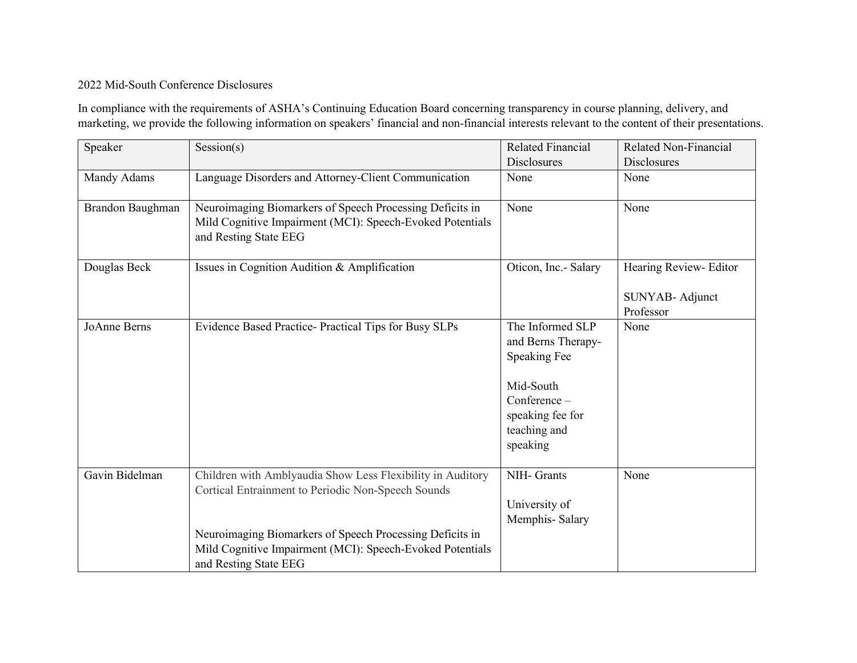## 2022 Mid-South Conference Disclosures

In compliance with the requirements of ASHA's Continuing Education Board concerning transparency in course planning, delivery, and marketing, we provide the following information on speakers' financial and non-financial interests relevant to the content of their presentations.

| Speaker          | Session(s)                                                                                                                                     | <b>Related Financial</b><br><b>Disclosures</b>                                                                                             | <b>Related Non-Financial</b><br><b>Disclosures</b> |
|------------------|------------------------------------------------------------------------------------------------------------------------------------------------|--------------------------------------------------------------------------------------------------------------------------------------------|----------------------------------------------------|
| Mandy Adams      | Language Disorders and Attorney-Client Communication                                                                                           | None                                                                                                                                       | None                                               |
| Brandon Baughman | Neuroimaging Biomarkers of Speech Processing Deficits in<br>Mild Cognitive Impairment (MCI): Speech-Evoked Potentials<br>and Resting State EEG | None                                                                                                                                       | None                                               |
| Douglas Beck     | Issues in Cognition Audition & Amplification                                                                                                   | Oticon, Inc.- Salary                                                                                                                       | Hearing Review- Editor                             |
|                  |                                                                                                                                                |                                                                                                                                            | SUNYAB- Adjunct<br>Professor                       |
| JoAnne Berns     | Evidence Based Practice- Practical Tips for Busy SLPs                                                                                          | The Informed SLP<br>and Berns Therapy-<br><b>Speaking Fee</b><br>Mid-South<br>Conference -<br>speaking fee for<br>teaching and<br>speaking | None                                               |
| Gavin Bidelman   | Children with Amblyaudia Show Less Flexibility in Auditory<br>Cortical Entrainment to Periodic Non-Speech Sounds                               | NIH- Grants<br>University of<br>Memphis-Salary                                                                                             | None                                               |
|                  | Neuroimaging Biomarkers of Speech Processing Deficits in<br>Mild Cognitive Impairment (MCI): Speech-Evoked Potentials<br>and Resting State EEG |                                                                                                                                            |                                                    |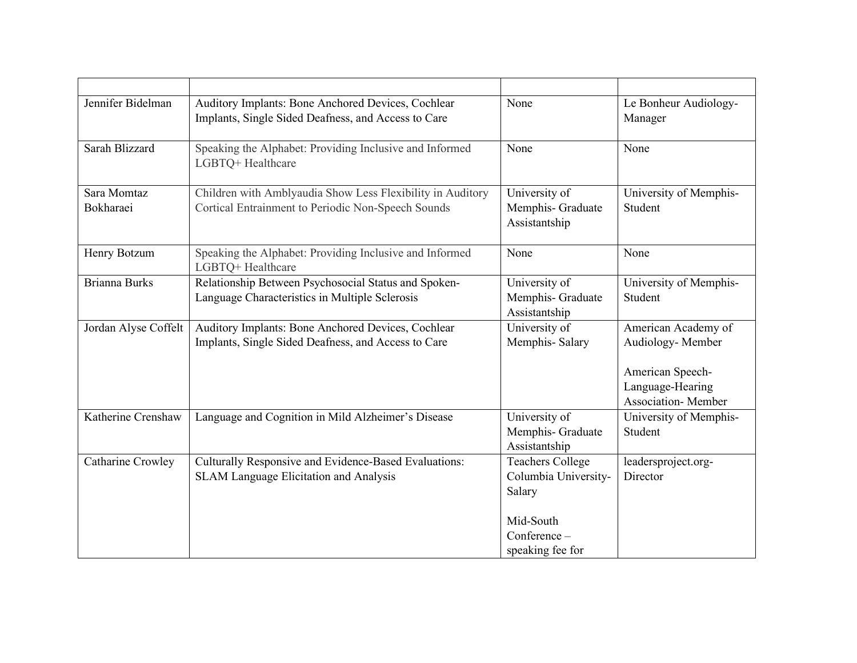| Jennifer Bidelman        | Auditory Implants: Bone Anchored Devices, Cochlear<br>Implants, Single Sided Deafness, and Access to Care        | None                                                                                                       | Le Bonheur Audiology-<br>Manager                                                                               |
|--------------------------|------------------------------------------------------------------------------------------------------------------|------------------------------------------------------------------------------------------------------------|----------------------------------------------------------------------------------------------------------------|
| Sarah Blizzard           | Speaking the Alphabet: Providing Inclusive and Informed<br>LGBTQ+ Healthcare                                     | None                                                                                                       | None                                                                                                           |
| Sara Momtaz<br>Bokharaei | Children with Amblyaudia Show Less Flexibility in Auditory<br>Cortical Entrainment to Periodic Non-Speech Sounds | University of<br>Memphis- Graduate<br>Assistantship                                                        | University of Memphis-<br>Student                                                                              |
| Henry Botzum             | Speaking the Alphabet: Providing Inclusive and Informed<br>LGBTQ+ Healthcare                                     | None                                                                                                       | None                                                                                                           |
| <b>Brianna Burks</b>     | Relationship Between Psychosocial Status and Spoken-<br>Language Characteristics in Multiple Sclerosis           | University of<br>Memphis- Graduate<br>Assistantship                                                        | University of Memphis-<br>Student                                                                              |
| Jordan Alyse Coffelt     | Auditory Implants: Bone Anchored Devices, Cochlear<br>Implants, Single Sided Deafness, and Access to Care        | University of<br>Memphis-Salary                                                                            | American Academy of<br>Audiology- Member<br>American Speech-<br>Language-Hearing<br><b>Association-</b> Member |
| Katherine Crenshaw       | Language and Cognition in Mild Alzheimer's Disease                                                               | University of<br>Memphis- Graduate<br>Assistantship                                                        | University of Memphis-<br>Student                                                                              |
| Catharine Crowley        | Culturally Responsive and Evidence-Based Evaluations:<br>SLAM Language Elicitation and Analysis                  | <b>Teachers College</b><br>Columbia University-<br>Salary<br>Mid-South<br>Conference -<br>speaking fee for | leadersproject.org-<br>Director                                                                                |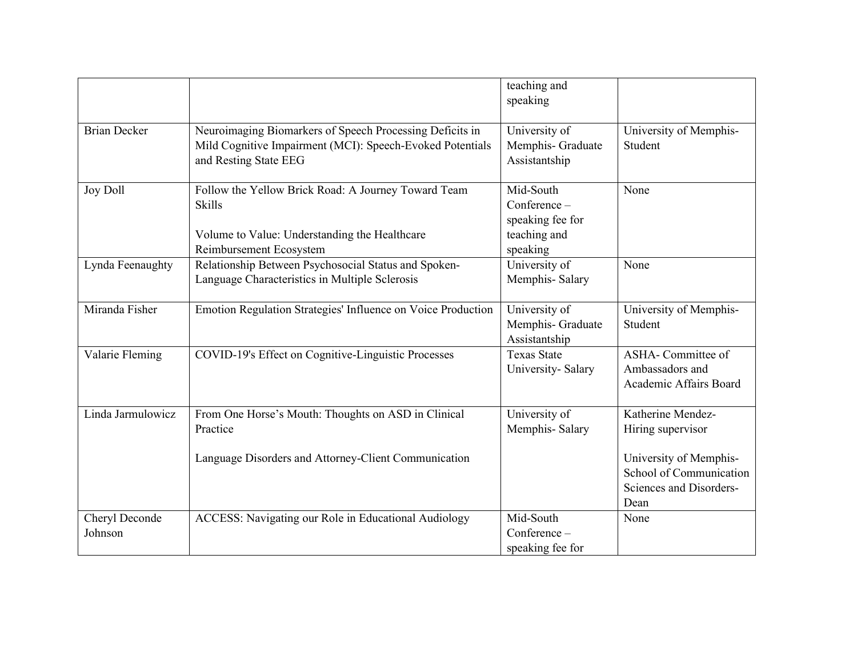|                           |                                                                                                                                                  | teaching and<br>speaking                                                  |                                                                                      |
|---------------------------|--------------------------------------------------------------------------------------------------------------------------------------------------|---------------------------------------------------------------------------|--------------------------------------------------------------------------------------|
| <b>Brian Decker</b>       | Neuroimaging Biomarkers of Speech Processing Deficits in<br>Mild Cognitive Impairment (MCI): Speech-Evoked Potentials<br>and Resting State EEG   | University of<br>Memphis- Graduate<br>Assistantship                       | University of Memphis-<br>Student                                                    |
| <b>Joy Doll</b>           | Follow the Yellow Brick Road: A Journey Toward Team<br><b>Skills</b><br>Volume to Value: Understanding the Healthcare<br>Reimbursement Ecosystem | Mid-South<br>Conference -<br>speaking fee for<br>teaching and<br>speaking | None                                                                                 |
| Lynda Feenaughty          | Relationship Between Psychosocial Status and Spoken-<br>Language Characteristics in Multiple Sclerosis                                           | University of<br>Memphis-Salary                                           | None                                                                                 |
| Miranda Fisher            | Emotion Regulation Strategies' Influence on Voice Production                                                                                     | University of<br>Memphis- Graduate<br>Assistantship                       | University of Memphis-<br>Student                                                    |
| Valarie Fleming           | COVID-19's Effect on Cognitive-Linguistic Processes                                                                                              | <b>Texas State</b><br>University-Salary                                   | <b>ASHA-</b> Committee of<br>Ambassadors and<br>Academic Affairs Board               |
| Linda Jarmulowicz         | From One Horse's Mouth: Thoughts on ASD in Clinical<br>Practice                                                                                  | University of<br>Memphis-Salary                                           | Katherine Mendez-<br>Hiring supervisor                                               |
|                           | Language Disorders and Attorney-Client Communication                                                                                             |                                                                           | University of Memphis-<br>School of Communication<br>Sciences and Disorders-<br>Dean |
| Cheryl Deconde<br>Johnson | ACCESS: Navigating our Role in Educational Audiology                                                                                             | Mid-South<br>Conference-<br>speaking fee for                              | None                                                                                 |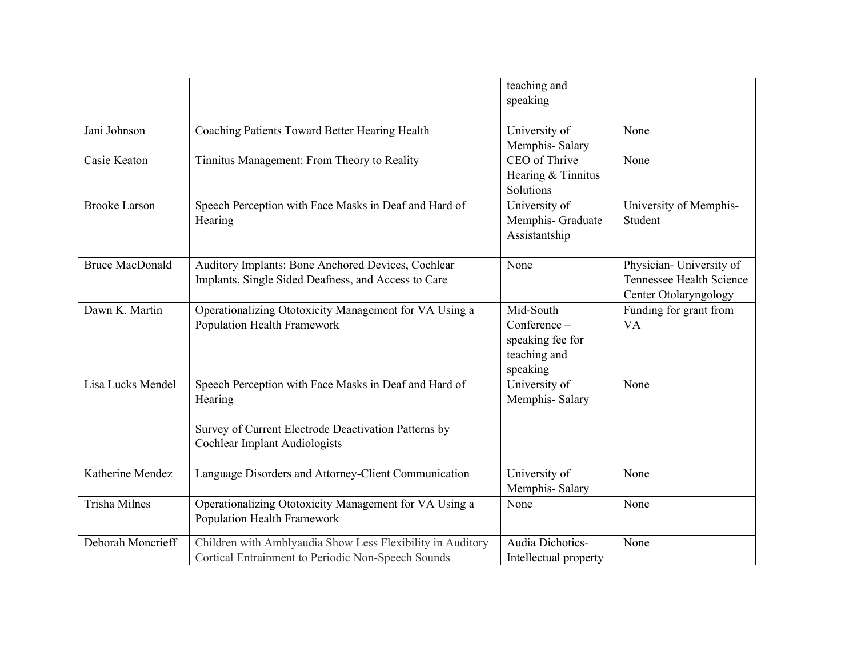|                        |                                                                                                                                                                  | teaching and<br>speaking                                                  |                                                                                      |
|------------------------|------------------------------------------------------------------------------------------------------------------------------------------------------------------|---------------------------------------------------------------------------|--------------------------------------------------------------------------------------|
| Jani Johnson           | Coaching Patients Toward Better Hearing Health                                                                                                                   | University of<br>Memphis-Salary                                           | None                                                                                 |
| Casie Keaton           | Tinnitus Management: From Theory to Reality                                                                                                                      | CEO of Thrive<br>Hearing & Tinnitus<br>Solutions                          | None                                                                                 |
| <b>Brooke Larson</b>   | Speech Perception with Face Masks in Deaf and Hard of<br>Hearing                                                                                                 | University of<br>Memphis- Graduate<br>Assistantship                       | University of Memphis-<br>Student                                                    |
| <b>Bruce MacDonald</b> | Auditory Implants: Bone Anchored Devices, Cochlear<br>Implants, Single Sided Deafness, and Access to Care                                                        | None                                                                      | Physician- University of<br><b>Tennessee Health Science</b><br>Center Otolaryngology |
| Dawn K. Martin         | Operationalizing Ototoxicity Management for VA Using a<br>Population Health Framework                                                                            | Mid-South<br>Conference -<br>speaking fee for<br>teaching and<br>speaking | Funding for grant from<br><b>VA</b>                                                  |
| Lisa Lucks Mendel      | Speech Perception with Face Masks in Deaf and Hard of<br>Hearing<br>Survey of Current Electrode Deactivation Patterns by<br><b>Cochlear Implant Audiologists</b> | University of<br>Memphis-Salary                                           | None                                                                                 |
| Katherine Mendez       | Language Disorders and Attorney-Client Communication                                                                                                             | University of<br>Memphis-Salary                                           | None                                                                                 |
| <b>Trisha Milnes</b>   | Operationalizing Ototoxicity Management for VA Using a<br>Population Health Framework                                                                            | None                                                                      | None                                                                                 |
| Deborah Moncrieff      | Children with Amblyaudia Show Less Flexibility in Auditory<br>Cortical Entrainment to Periodic Non-Speech Sounds                                                 | Audia Dichotics-<br>Intellectual property                                 | None                                                                                 |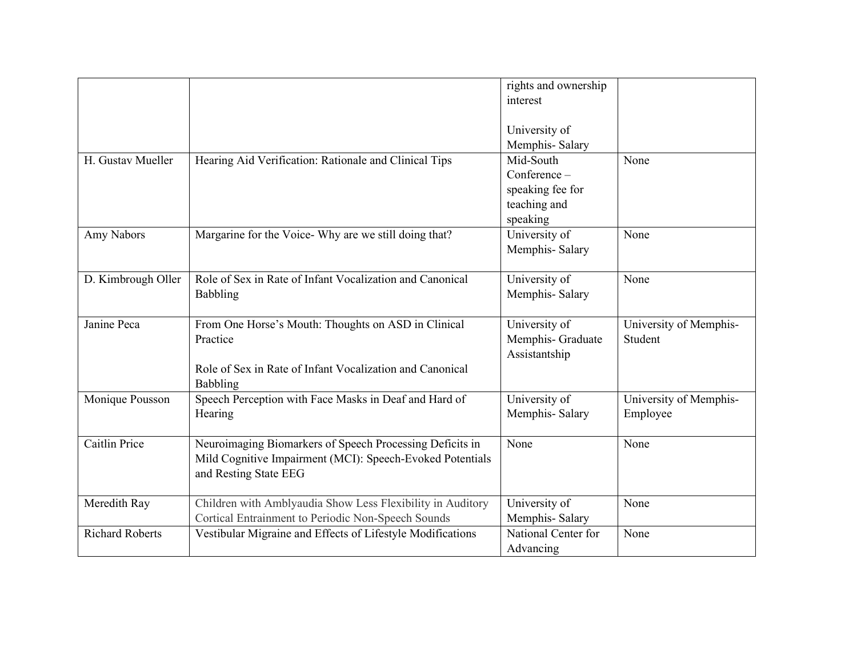|                        |                                                                                                                                                | rights and ownership<br>interest                                          |                                    |
|------------------------|------------------------------------------------------------------------------------------------------------------------------------------------|---------------------------------------------------------------------------|------------------------------------|
|                        |                                                                                                                                                | University of<br>Memphis-Salary                                           |                                    |
| H. Gustav Mueller      | Hearing Aid Verification: Rationale and Clinical Tips                                                                                          | Mid-South<br>Conference -<br>speaking fee for<br>teaching and<br>speaking | None                               |
| Amy Nabors             | Margarine for the Voice- Why are we still doing that?                                                                                          | University of<br>Memphis-Salary                                           | None                               |
| D. Kimbrough Oller     | Role of Sex in Rate of Infant Vocalization and Canonical<br>Babbling                                                                           | University of<br>Memphis-Salary                                           | None                               |
| Janine Peca            | From One Horse's Mouth: Thoughts on ASD in Clinical<br>Practice<br>Role of Sex in Rate of Infant Vocalization and Canonical<br>Babbling        | University of<br>Memphis- Graduate<br>Assistantship                       | University of Memphis-<br>Student  |
| Monique Pousson        | Speech Perception with Face Masks in Deaf and Hard of<br>Hearing                                                                               | University of<br>Memphis-Salary                                           | University of Memphis-<br>Employee |
| Caitlin Price          | Neuroimaging Biomarkers of Speech Processing Deficits in<br>Mild Cognitive Impairment (MCI): Speech-Evoked Potentials<br>and Resting State EEG | None                                                                      | None                               |
| Meredith Ray           | Children with Amblyaudia Show Less Flexibility in Auditory<br>Cortical Entrainment to Periodic Non-Speech Sounds                               | University of<br>Memphis-Salary                                           | None                               |
| <b>Richard Roberts</b> | Vestibular Migraine and Effects of Lifestyle Modifications                                                                                     | National Center for<br>Advancing                                          | None                               |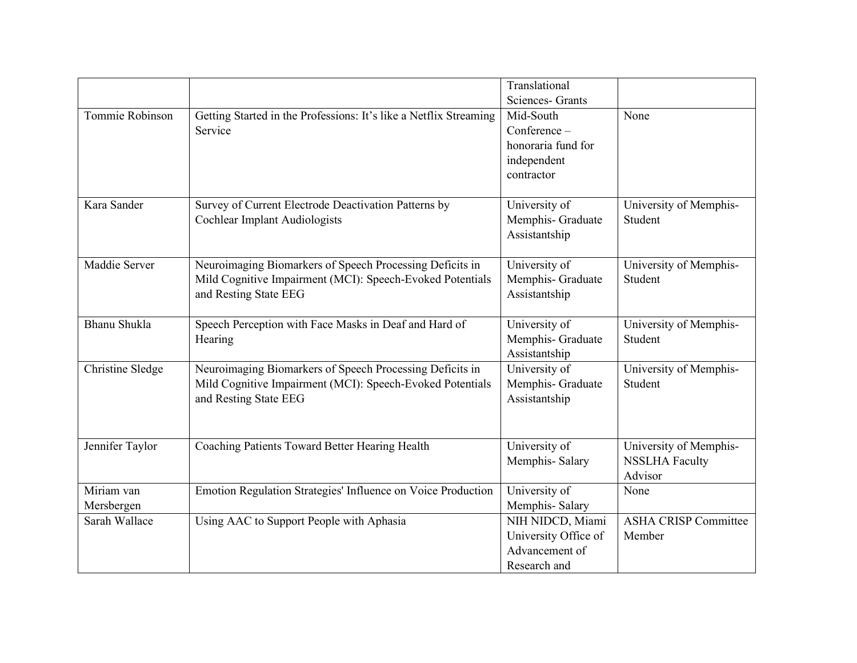|                          |                                                                                                                                                | Translational<br>Sciences- Grants                                            |                                                            |
|--------------------------|------------------------------------------------------------------------------------------------------------------------------------------------|------------------------------------------------------------------------------|------------------------------------------------------------|
| Tommie Robinson          | Getting Started in the Professions: It's like a Netflix Streaming<br>Service                                                                   | Mid-South<br>Conference -<br>honoraria fund for<br>independent<br>contractor | None                                                       |
| Kara Sander              | Survey of Current Electrode Deactivation Patterns by<br>Cochlear Implant Audiologists                                                          | University of<br>Memphis- Graduate<br>Assistantship                          | University of Memphis-<br>Student                          |
| Maddie Server            | Neuroimaging Biomarkers of Speech Processing Deficits in<br>Mild Cognitive Impairment (MCI): Speech-Evoked Potentials<br>and Resting State EEG | University of<br>Memphis- Graduate<br>Assistantship                          | University of Memphis-<br>Student                          |
| Bhanu Shukla             | Speech Perception with Face Masks in Deaf and Hard of<br>Hearing                                                                               | University of<br>Memphis- Graduate<br>Assistantship                          | University of Memphis-<br>Student                          |
| Christine Sledge         | Neuroimaging Biomarkers of Speech Processing Deficits in<br>Mild Cognitive Impairment (MCI): Speech-Evoked Potentials<br>and Resting State EEG | University of<br>Memphis- Graduate<br>Assistantship                          | University of Memphis-<br>Student                          |
| Jennifer Taylor          | Coaching Patients Toward Better Hearing Health                                                                                                 | University of<br>Memphis-Salary                                              | University of Memphis-<br><b>NSSLHA Faculty</b><br>Advisor |
| Miriam van<br>Mersbergen | Emotion Regulation Strategies' Influence on Voice Production                                                                                   | University of<br>Memphis-Salary                                              | None                                                       |
| Sarah Wallace            | Using AAC to Support People with Aphasia                                                                                                       | NIH NIDCD, Miami<br>University Office of<br>Advancement of<br>Research and   | <b>ASHA CRISP Committee</b><br>Member                      |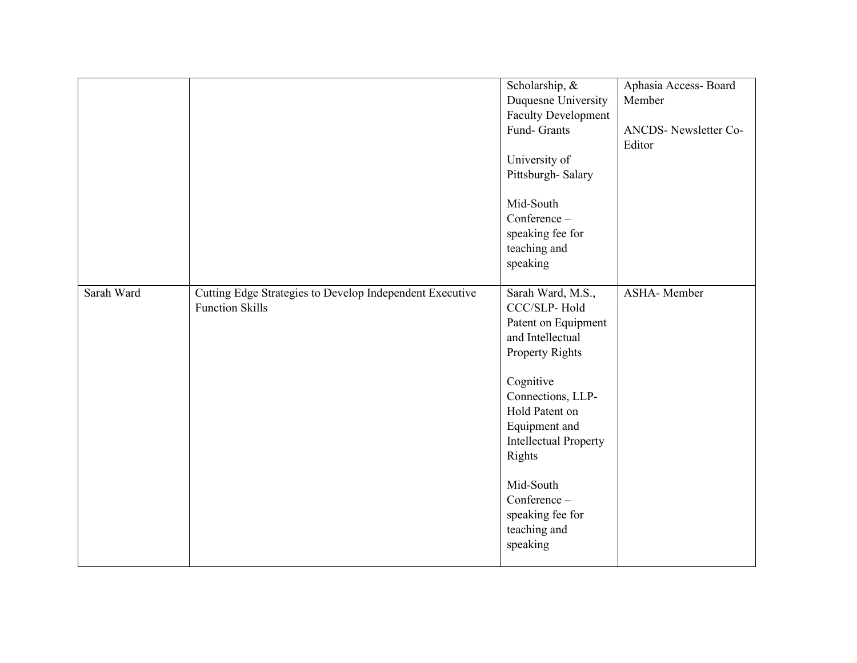|            |                                                                                    | Scholarship, &<br>Duquesne University<br><b>Faculty Development</b><br>Fund- Grants<br>University of<br>Pittsburgh-Salary                                                                                                                                                                          | Aphasia Access-Board<br>Member<br>ANCDS-Newsletter Co-<br>Editor |
|------------|------------------------------------------------------------------------------------|----------------------------------------------------------------------------------------------------------------------------------------------------------------------------------------------------------------------------------------------------------------------------------------------------|------------------------------------------------------------------|
|            |                                                                                    | Mid-South<br>Conference -<br>speaking fee for<br>teaching and<br>speaking                                                                                                                                                                                                                          |                                                                  |
| Sarah Ward | Cutting Edge Strategies to Develop Independent Executive<br><b>Function Skills</b> | Sarah Ward, M.S.,<br>CCC/SLP-Hold<br>Patent on Equipment<br>and Intellectual<br><b>Property Rights</b><br>Cognitive<br>Connections, LLP-<br>Hold Patent on<br>Equipment and<br><b>Intellectual Property</b><br>Rights<br>Mid-South<br>Conference -<br>speaking fee for<br>teaching and<br>speaking | ASHA-Member                                                      |